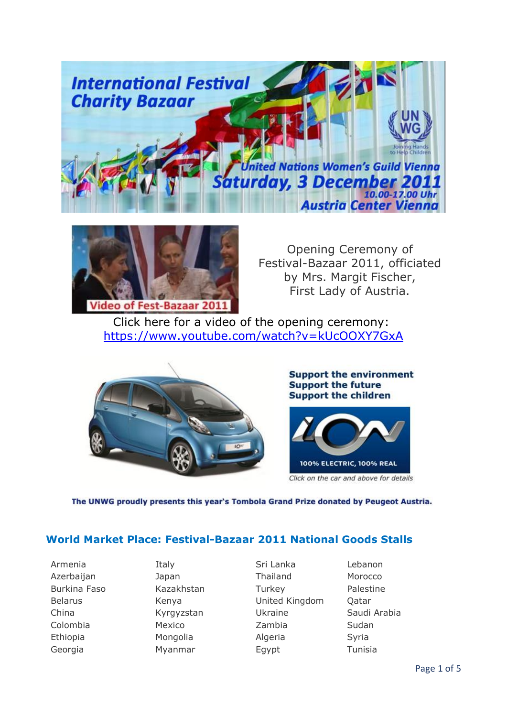



Opening Ceremony of Festival-Bazaar 2011, officiated by Mrs. Margit Fischer, First Lady of Austria.

Click here for a video of the opening ceremony: <https://www.youtube.com/watch?v=kUcOOXY7GxA>



**Support the environment Support the future Support the children** 



The UNWG proudly presents this year's Tombola Grand Prize donated by Peugeot Austria.

### **World Market Place: Festival-Bazaar 2011 National Goods Stalls**

Armenia Italy Sri Lanka Lebanon Azerbaijan Japan Thailand Morocco Burkina Faso Kazakhstan Turkey Palestine Belarus **Kenya** Kenya United Kingdom Qatar China Kyrgyzstan Ukraine Saudi Arabia Colombia Mexico Zambia Sudan Ethiopia Mongolia Algeria Syria Georgia Myanmar Egypt Tunisia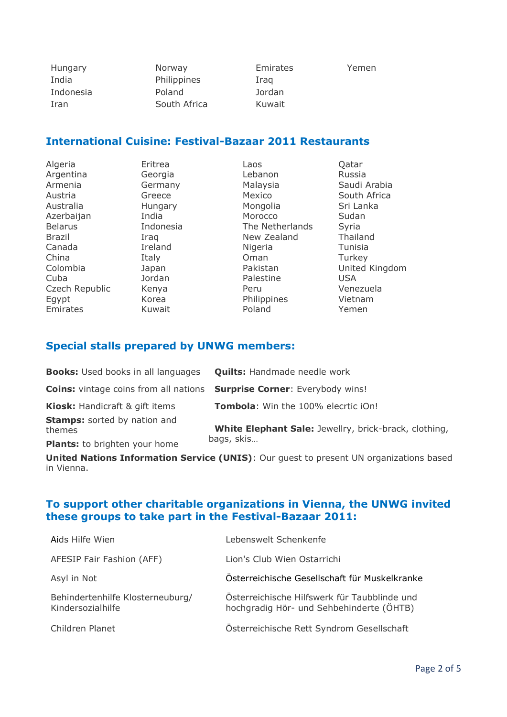| <b>Hungary</b> |
|----------------|
| India          |
| Indonesia      |
| Iran           |

Norway **Emirates** Yemen Philippines Iraq Poland Jordan South Africa Kuwait

# **International Cuisine: Festival-Bazaar 2011 Restaurants**

| Algeria        | Eritrea   | Laos            | Qatar          |
|----------------|-----------|-----------------|----------------|
| Argentina      | Georgia   | Lebanon         | Russia         |
| Armenia        | Germany   | Malaysia        | Saudi Arabia   |
| Austria        | Greece    | Mexico          | South Africa   |
| Australia      | Hungary   | Mongolia        | Sri Lanka      |
| Azerbaijan     | India     | Morocco         | Sudan          |
| <b>Belarus</b> | Indonesia | The Netherlands | Syria          |
| <b>Brazil</b>  | Iraq      | New Zealand     | Thailand       |
| Canada         | Ireland   | Nigeria         | Tunisia        |
| China          | Italy     | Oman            | Turkey         |
| Colombia       | Japan     | Pakistan        | United Kingdom |
| Cuba           | Jordan    | Palestine       | <b>USA</b>     |
| Czech Republic | Kenya     | Peru            | Venezuela      |
| Egypt          | Korea     | Philippines     | Vietnam        |
| Emirates       | Kuwait    | Poland          | Yemen          |

## **Special stalls prepared by UNWG members:**

| <b>Books:</b> Used books in all languages     | <b>Quilts: Handmade needle work</b>                                                   |
|-----------------------------------------------|---------------------------------------------------------------------------------------|
|                                               | <b>Coins:</b> vintage coins from all nations <b>Surprise Corner</b> : Everybody wins! |
| <b>Kiosk:</b> Handicraft & gift items         | <b>Tombola:</b> Win the 100% elecrtic iOn!                                            |
| <b>Stamps:</b> sorted by nation and<br>themes | White Elephant Sale: Jewellry, brick-brack, clothing,                                 |
| Plants: to brighten your home                 | bags, skis                                                                            |

**United Nations Information Service (UNIS)**: Our guest to present UN organizations based in Vienna.

## **To support other charitable organizations in Vienna, the UNWG invited these groups to take part in the Festival-Bazaar 2011:**

| Aids Hilfe Wien                                       | Lebenswelt Schenkenfe                                                                    |
|-------------------------------------------------------|------------------------------------------------------------------------------------------|
| AFESIP Fair Fashion (AFF)                             | Lion's Club Wien Ostarrichi                                                              |
| Asyl in Not                                           | Österreichische Gesellschaft für Muskelkranke                                            |
| Behindertenhilfe Klosterneuburg/<br>Kindersozialhilfe | Österreichische Hilfswerk für Taubblinde und<br>hochgradig Hör- und Sehbehinderte (ÖHTB) |
| Children Planet                                       | Österreichische Rett Syndrom Gesellschaft                                                |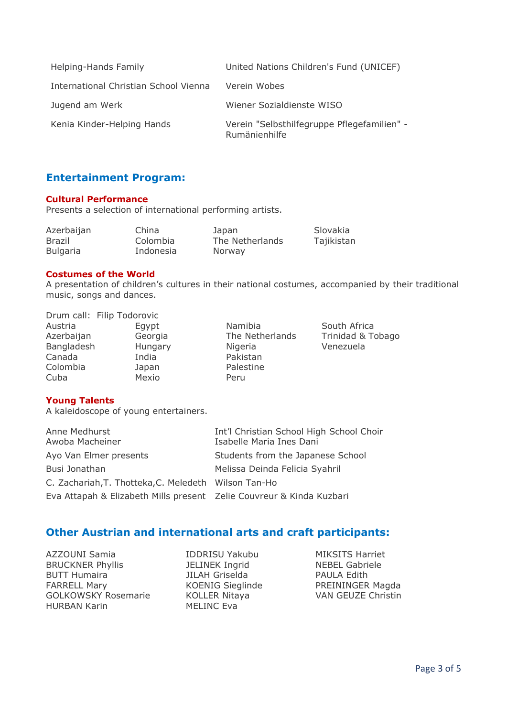| Helping-Hands Family                  | United Nations Children's Fund (UNICEF)                      |
|---------------------------------------|--------------------------------------------------------------|
| International Christian School Vienna | Verein Wobes                                                 |
| Jugend am Werk                        | Wiener Sozialdienste WISO                                    |
| Kenia Kinder-Helping Hands            | Verein "Selbsthilfegruppe Pflegefamilien" -<br>Rumänienhilfe |

### **Entertainment Program:**

#### **Cultural Performance**

Presents a selection of international performing artists.

| Azerbaijan      | China     | Japan           | Slovakia   |
|-----------------|-----------|-----------------|------------|
| Brazil          | Colombia  | The Netherlands | Tajikistan |
| <b>Bulgaria</b> | Indonesia | Norway          |            |

#### **Costumes of the World**

A presentation of children's cultures in their national costumes, accompanied by their traditional music, songs and dances.

|            | Drum call: Filip Todorovic |       |
|------------|----------------------------|-------|
| Austria    | Eqypt                      | Nam   |
| Azerbaijan | Georgia                    | The   |
| Bangladesh | Hungary                    | Nige  |
| Canada     | India                      | Paki: |
| Colombia   | Japan                      | Pale: |
| Cuba       | Mexio                      | Peru  |

Namibia South Africa<br>The Netherlands Trinidad & To ry Nigeria Venezuela Pakistan Palestine

a according The Netherlands Trinidad & Tobago

### **Young Talents**

A kaleidoscope of young entertainers.

| Anne Medhurst<br>Awoba Macheiner                                     | Int'l Christian School High School Choir<br>Isabelle Maria Ines Dani |
|----------------------------------------------------------------------|----------------------------------------------------------------------|
|                                                                      |                                                                      |
| Ayo Van Elmer presents                                               | Students from the Japanese School                                    |
| Busi Jonathan                                                        | Melissa Deinda Felicia Syahril                                       |
| C. Zachariah, T. Thotteka, C. Meledeth Wilson Tan-Ho                 |                                                                      |
| Eva Attapah & Elizabeth Mills present Zelie Couvreur & Kinda Kuzbari |                                                                      |

## **Other Austrian and international arts and craft participants:**

AZZOUNI Samia **IDDRISU Yakubu** MIKSITS Harriet BRUCKNER Phyllis JELINEK Ingrid NEBEL Gabriele BUTT Humaira **IILAH Griselda** FARRELL Mary **KOENIG Sieglinde** PREININGER Magda GOLKOWSKY Rosemarie KOLLER Nitaya VAN GEUZE Christin HURBAN Karin MELINC Eva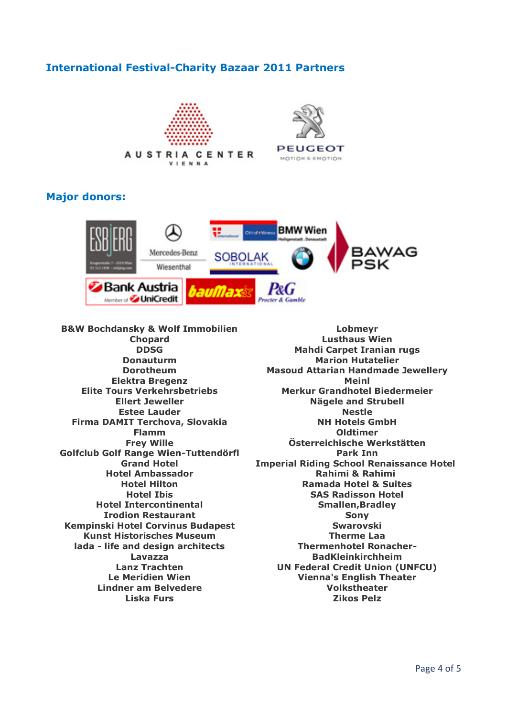## **International Festival-Charity Bazaar 2011 Partners**





## **Major donors:**



**B&W Bochdansky & Wolf Immobilien Chopard DDSG Donauturm Dorotheum Elektra Bregenz Elite Tours Verkehrsbetriebs Ellert Jeweller Estee Lauder Firma DAMIT Terchova, Slovakia Flamm Frey Wille Golfclub Golf Range Wien-Tuttendörfl Grand Hotel Hotel Ambassador Hotel Hilton Hotel Ibis Hotel Intercontinental Irodion Restaurant Kempinski Hotel Corvinus Budapest Kunst Historisches Museum lada - life and design architects Lavazza Lanz Trachten Le Meridien Wien Lindner am Belvedere Liska Furs**

**Lobmeyr Lusthaus Wien Mahdi Carpet Iranian rugs Marion Hutatelier Masoud Attarian Handmade Jewellery Meinl Merkur Grandhotel Biedermeier Nägele and Strubell Nestle NH Hotels GmbH Oldtimer Österreichische Werkstätten Park Inn Imperial Riding School Renaissance Hotel Rahimi & Rahimi Ramada Hotel & Suites SAS Radisson Hotel Smallen,Bradley Sony Swarovski Therme Laa Thermenhotel Ronacher-BadKleinkirchheim UN Federal Credit Union (UNFCU) Vienna's English Theater Volkstheater Zikos Pelz**